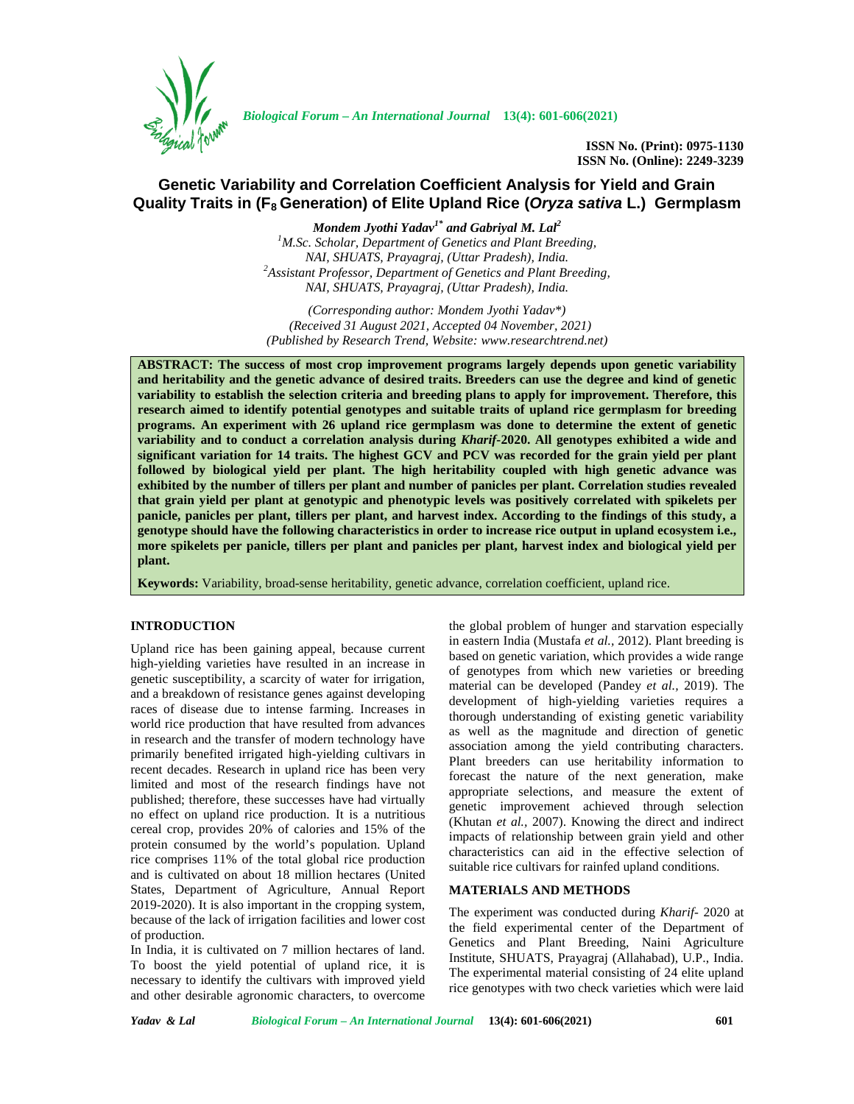

*Biological Forum – An International Journal* **13(4): 601-606(2021)**

**ISSN No. (Print): 0975-1130 ISSN No. (Online): 2249-3239**

# **Genetic Variability and Correlation Coefficient Analysis for Yield and Grain Quality Traits in (F<sup>8</sup> Generation) of Elite Upland Rice (***Oryza sativa* **L.) Germplasm**

*Mondem Jyothi Yadav1\* and Gabriyal M. Lal<sup>2</sup> <sup>1</sup>M.Sc. Scholar, Department of Genetics and Plant Breeding, NAI, SHUATS, Prayagraj, (Uttar Pradesh), India. <sup>2</sup>Assistant Professor, Department of Genetics and Plant Breeding, NAI, SHUATS, Prayagraj, (Uttar Pradesh), India.*

*(Corresponding author: Mondem Jyothi Yadav\*) (Received 31 August 2021, Accepted 04 November, 2021) (Published by Research Trend, Website: [www.researchtrend.net\)](www.researchtrend.net)*

**ABSTRACT: The success of most crop improvement programs largely depends upon genetic variability and heritability and the genetic advance of desired traits. Breeders can use the degree and kind of genetic variability to establish the selection criteria and breeding plans to apply for improvement. Therefore, this research aimed to identify potential genotypes and suitable traits of upland rice germplasm for breeding programs. An experiment with 26 upland rice germplasm was done to determine the extent of genetic variability and to conduct a correlation analysis during** *Kharif***-2020. All genotypes exhibited a wide and significant variation for 14 traits. The highest GCV and PCV was recorded for the grain yield per plant followed by biological yield per plant. The high heritability coupled with high genetic advance was exhibited by the number of tillers per plant and number of panicles per plant. Correlation studies revealed that grain yield per plant at genotypic and phenotypic levels was positively correlated with spikelets per panicle, panicles per plant, tillers per plant, and harvest index. According to the findings of this study, a genotype should have the following characteristics in order to increase rice output in upland ecosystem i.e., more spikelets per panicle, tillers per plant and panicles per plant, harvest index and biological yield per plant.**

**Keywords:** Variability, broad-sense heritability, genetic advance, correlation coefficient, upland rice.

# **INTRODUCTION**

Upland rice has been gaining appeal, because current high-yielding varieties have resulted in an increase in genetic susceptibility, a scarcity of water for irrigation, and a breakdown of resistance genes against developing races of disease due to intense farming. Increases in world rice production that have resulted from advances in research and the transfer of modern technology have primarily benefited irrigated high-yielding cultivars in recent decades. Research in upland rice has been very limited and most of the research findings have not published; therefore, these successes have had virtually no effect on upland rice production. It is a nutritious cereal crop, provides 20% of calories and 15% of the protein consumed by the world's population. Upland rice comprises 11% of the total global rice production and is cultivated on about 18 million hectares (United States, Department of Agriculture, Annual Report 2019-2020). It is also important in the cropping system, because of the lack of irrigation facilities and lower cost of production.

In India, it is cultivated on 7 million hectares of land. To boost the yield potential of upland rice, it is necessary to identify the cultivars with improved yield and other desirable agronomic characters, to overcome

the global problem of hunger and starvation especially in eastern India (Mustafa *et al.,* 2012). Plant breeding is based on genetic variation, which provides a wide range of genotypes from which new varieties or breeding material can be developed (Pandey *et al.,* 2019). The development of high-yielding varieties requires a thorough understanding of existing genetic variability as well as the magnitude and direction of genetic association among the yield contributing characters. Plant breeders can use heritability information to forecast the nature of the next generation, make appropriate selections, and measure the extent of genetic improvement achieved through selection (Khutan *et al.,* 2007). Knowing the direct and indirect impacts of relationship between grain yield and other characteristics can aid in the effective selection of suitable rice cultivars for rainfed upland conditions.

# **MATERIALS AND METHODS**

The experiment was conducted during *Kharif-* 2020 at the field experimental center of the Department of Genetics and Plant Breeding, Naini Agriculture Institute, SHUATS, Prayagraj (Allahabad), U.P., India. The experimental material consisting of 24 elite upland rice genotypes with two check varieties which were laid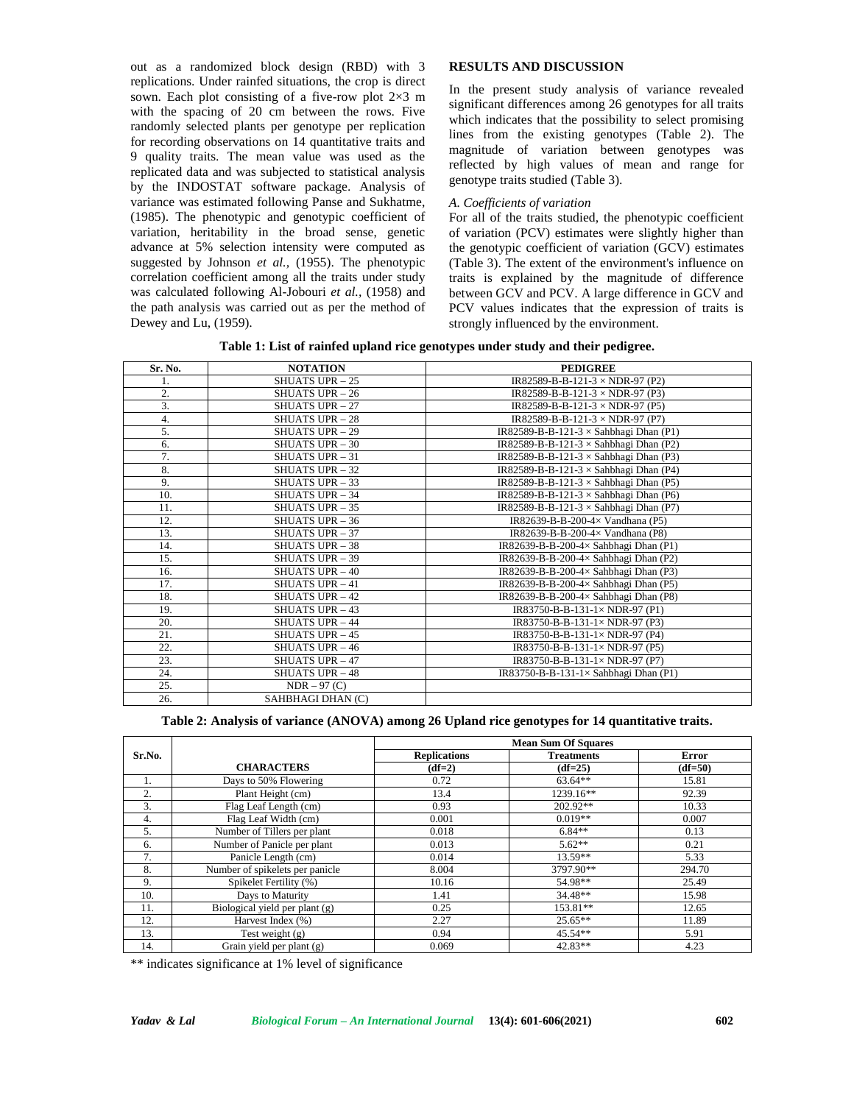out as a randomized block design (RBD) with 3 replications. Under rainfed situations, the crop is direct sown. Each plot consisting of a five-row plot 2×3 m with the spacing of 20 cm between the rows. Five randomly selected plants per genotype per replication for recording observations on 14 quantitative traits and 9 quality traits. The mean value was used as the replicated data and was subjected to statistical analysis by the INDOSTAT software package. Analysis of variance was estimated following Panse and Sukhatme, (1985). The phenotypic and genotypic coefficient of variation, heritability in the broad sense, genetic advance at 5% selection intensity were computed as suggested by Johnson *et al.,* (1955). The phenotypic correlation coefficient among all the traits under study was calculated following Al-Jobouri *et al.,* (1958) and the path analysis was carried out as per the method of Dewey and Lu, (1959).

# **RESULTS AND DISCUSSION**

In the present study analysis of variance revealed significant differences among 26 genotypes for all traits which indicates that the possibility to select promising lines from the existing genotypes (Table 2). The magnitude of variation between genotypes was reflected by high values of mean and range for genotype traits studied (Table 3).

# *A. Coefficients of variation*

For all of the traits studied, the phenotypic coefficient of variation (PCV) estimates were slightly higher than the genotypic coefficient of variation (GCV) estimates (Table 3). The extent of the environment's influence on traits is explained by the magnitude of difference between GCV and PCV. A large difference in GCV and PCV values indicates that the expression of traits is strongly influenced by the environment.

**Table 1: List of rainfed upland rice genotypes under study and their pedigree.**

| Sr. No. | <b>NOTATION</b>        | <b>PEDIGREE</b>                               |
|---------|------------------------|-----------------------------------------------|
| 1.      | <b>SHUATS UPR - 25</b> | IR82589-B-B-121-3 $\times$ NDR-97 (P2)        |
| 2.      | <b>SHUATS UPR - 26</b> | IR82589-B-B-121-3 $\times$ NDR-97 (P3)        |
| 3.      | <b>SHUATS UPR - 27</b> | IR82589-B-B-121-3 $\times$ NDR-97 (P5)        |
| 4.      | <b>SHUATS UPR - 28</b> | IR82589-B-B-121-3 $\times$ NDR-97 (P7)        |
| 5.      | <b>SHUATS UPR - 29</b> | IR82589-B-B-121-3 $\times$ Sahbhagi Dhan (P1) |
| 6.      | <b>SHUATS UPR - 30</b> | IR82589-B-B-121-3 $\times$ Sahbhagi Dhan (P2) |
| 7.      | <b>SHUATS UPR - 31</b> | IR82589-B-B-121-3 $\times$ Sahbhagi Dhan (P3) |
| 8.      | <b>SHUATS UPR - 32</b> | IR82589-B-B-121-3 $\times$ Sahbhagi Dhan (P4) |
| 9.      | <b>SHUATS UPR - 33</b> | IR82589-B-B-121-3 $\times$ Sahbhagi Dhan (P5) |
| 10.     | <b>SHUATS UPR - 34</b> | IR82589-B-B-121-3 $\times$ Sahbhagi Dhan (P6) |
| 11.     | <b>SHUATS UPR - 35</b> | IR82589-B-B-121-3 $\times$ Sahbhagi Dhan (P7) |
| 12.     | <b>SHUATS UPR - 36</b> | IR82639-B-B-200-4× Vandhana (P5)              |
| 13.     | <b>SHUATS UPR - 37</b> | IR82639-B-B-200-4× Vandhana (P8)              |
| 14.     | <b>SHUATS UPR - 38</b> | IR82639-B-B-200-4× Sahbhagi Dhan (P1)         |
| 15.     | <b>SHUATS UPR - 39</b> | IR82639-B-B-200-4× Sahbhagi Dhan (P2)         |
| 16.     | <b>SHUATS UPR - 40</b> | IR82639-B-B-200-4× Sahbhagi Dhan (P3)         |
| 17.     | <b>SHUATS UPR - 41</b> | IR82639-B-B-200-4× Sahbhagi Dhan (P5)         |
| 18.     | <b>SHUATS UPR - 42</b> | IR82639-B-B-200-4× Sahbhagi Dhan (P8)         |
| 19.     | <b>SHUATS UPR - 43</b> | IR83750-B-B-131-1×NDR-97 (P1)                 |
| 20.     | <b>SHUATS UPR - 44</b> | IR83750-B-B-131-1 $\times$ NDR-97 (P3)        |
| 21.     | <b>SHUATS UPR - 45</b> | IR83750-B-B-131-1 $\times$ NDR-97 (P4)        |
| 22.     | <b>SHUATS UPR - 46</b> | IR83750-B-B-131-1× NDR-97 (P5)                |
| 23.     | <b>SHUATS UPR - 47</b> | IR83750-B-B-131-1× NDR-97 (P7)                |
| 24.     | <b>SHUATS UPR - 48</b> | IR83750-B-B-131-1 $\times$ Sahbhagi Dhan (P1) |
| 25.     | $NDR - 97 (C)$         |                                               |
| 26.     | SAHBHAGI DHAN (C)      |                                               |

### **Table 2: Analysis of variance (ANOVA) among 26 Upland rice genotypes for 14 quantitative traits.**

|        |                                 |                     | <b>Mean Sum Of Squares</b> |           |
|--------|---------------------------------|---------------------|----------------------------|-----------|
| Sr.No. |                                 | <b>Replications</b> | <b>Treatments</b>          | Error     |
|        | <b>CHARACTERS</b>               | $(df=2)$            | $(df=25)$                  | $(df=50)$ |
| 1.     | Days to 50% Flowering           | 0.72                | $63.64**$                  | 15.81     |
| 2.     | Plant Height (cm)               | 13.4                | 1239.16**                  | 92.39     |
| 3.     | Flag Leaf Length (cm)           | 0.93                | 202.92**                   | 10.33     |
| 4.     | Flag Leaf Width (cm)            | 0.001               | $0.019**$                  | 0.007     |
| 5.     | Number of Tillers per plant     | 0.018               | $6.84**$                   | 0.13      |
| 6.     | Number of Panicle per plant     | 0.013               | $5.62**$                   | 0.21      |
| 7.     | Panicle Length (cm)             | 0.014               | $13.59**$                  | 5.33      |
| 8.     | Number of spikelets per panicle | 8.004               | 3797.90**                  | 294.70    |
| 9.     | Spikelet Fertility (%)          | 10.16               | 54.98**                    | 25.49     |
| 10.    | Days to Maturity                | 1.41                | $34.48**$                  | 15.98     |
| 11.    | Biological yield per plant (g)  | 0.25                | 153.81**                   | 12.65     |
| 12.    | Harvest Index (%)               | 2.27                | $25.65**$                  | 11.89     |
| 13.    | Test weight $(g)$               | 0.94                | $45.54**$                  | 5.91      |
| 14.    | Grain yield per plant (g)       | 0.069               | 42.83**                    | 4.23      |

\*\* indicates significance at 1% level of significance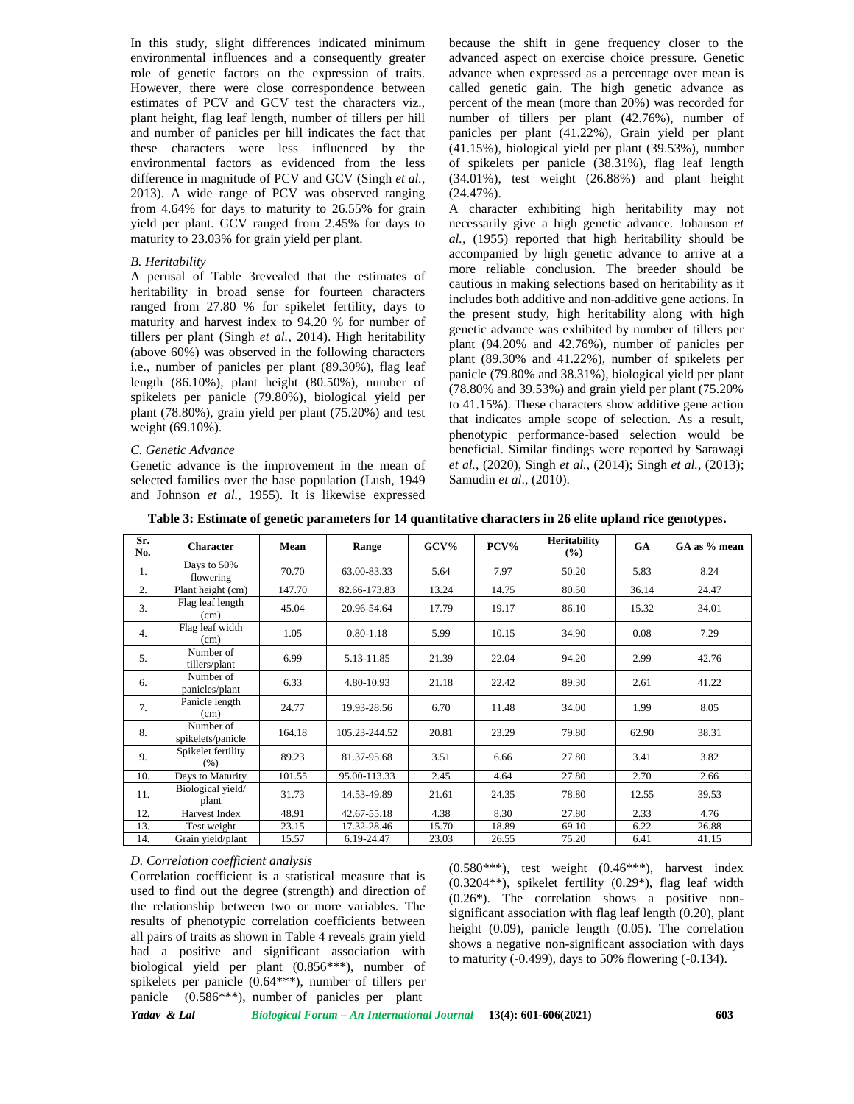In this study, slight differences indicated minimum environmental influences and a consequently greater role of genetic factors on the expression of traits. However, there were close correspondence between estimates of PCV and GCV test the characters viz., plant height, flag leaf length, number of tillers per hill and number of panicles per hill indicates the fact that these characters were less influenced by the environmental factors as evidenced from the less difference in magnitude of PCV and GCV (Singh *et al.,* 2013). A wide range of PCV was observed ranging from 4.64% for days to maturity to 26.55% for grain yield per plant. GCV ranged from 2.45% for days to maturity to 23.03% for grain yield per plant.

#### *B. Heritability*

A perusal of Table 3revealed that the estimates of heritability in broad sense for fourteen characters ranged from 27.80 % for spikelet fertility, days to maturity and harvest index to 94.20 % for number of tillers per plant (Singh *et al.,* 2014). High heritability (above 60%) was observed in the following characters i.e., number of panicles per plant (89.30%), flag leaf length (86.10%), plant height (80.50%), number of spikelets per panicle (79.80%), biological yield per plant (78.80%), grain yield per plant (75.20%) and test weight (69.10%).

#### *C. Genetic Advance*

Genetic advance is the improvement in the mean of selected families over the base population (Lush, 1949 and Johnson *et al.,* 1955). It is likewise expressed because the shift in gene frequency closer to the advanced aspect on exercise choice pressure. Genetic advance when expressed as a percentage over mean is called genetic gain. The high genetic advance as percent of the mean (more than 20%) was recorded for number of tillers per plant (42.76%), number of panicles per plant (41.22%), Grain yield per plant (41.15%), biological yield per plant (39.53%), number of spikelets per panicle (38.31%), flag leaf length (34.01%), test weight (26.88%) and plant height (24.47%).

A character exhibiting high heritability may not necessarily give a high genetic advance. Johanson *et al.,* (1955) reported that high heritability should be accompanied by high genetic advance to arrive at a more reliable conclusion. The breeder should be cautious in making selections based on heritability as it includes both additive and non-additive gene actions. In the present study, high heritability along with high genetic advance was exhibited by number of tillers per plant (94.20% and 42.76%), number of panicles per plant (89.30% and 41.22%), number of spikelets per panicle (79.80% and 38.31%), biological yield per plant (78.80% and 39.53%) and grain yield per plant (75.20% to 41.15%). These characters show additive gene action that indicates ample scope of selection. As a result, phenotypic performance-based selection would be beneficial. Similar findings were reported by Sarawagi *et al.,* (2020), Singh *et al.,* (2014); Singh *et al.,* (2013); Samudin *et al*., (2010).

|  |  |  |  | Table 3: Estimate of genetic parameters for 14 quantitative characters in 26 elite upland rice genotypes. |  |  |  |  |  |
|--|--|--|--|-----------------------------------------------------------------------------------------------------------|--|--|--|--|--|
|--|--|--|--|-----------------------------------------------------------------------------------------------------------|--|--|--|--|--|

| Sr.<br>No. | <b>Character</b>               | Mean   | Range         | $GCV\%$ | PCV%  | <b>Heritability</b><br>$\frac{9}{6}$ | <b>GA</b> | GA as % mean |
|------------|--------------------------------|--------|---------------|---------|-------|--------------------------------------|-----------|--------------|
| 1.         | Days to 50%<br>flowering       | 70.70  | 63.00-83.33   | 5.64    | 7.97  | 50.20                                | 5.83      | 8.24         |
| 2.         | Plant height (cm)              | 147.70 | 82.66-173.83  | 13.24   | 14.75 | 80.50                                | 36.14     | 24.47        |
| 3.         | Flag leaf length<br>(cm)       | 45.04  | 20.96-54.64   | 17.79   | 19.17 | 86.10                                | 15.32     | 34.01        |
| 4.         | Flag leaf width<br>(cm)        | 1.05   | $0.80 - 1.18$ | 5.99    | 10.15 | 34.90                                | 0.08      | 7.29         |
| 5.         | Number of<br>tillers/plant     | 6.99   | 5.13-11.85    | 21.39   | 22.04 | 94.20                                | 2.99      | 42.76        |
| 6.         | Number of<br>panicles/plant    | 6.33   | 4.80-10.93    | 21.18   | 22.42 | 89.30                                | 2.61      | 41.22        |
| 7.         | Panicle length<br>(cm)         | 24.77  | 19.93-28.56   | 6.70    | 11.48 | 34.00                                | 1.99      | 8.05         |
| 8.         | Number of<br>spikelets/panicle | 164.18 | 105.23-244.52 | 20.81   | 23.29 | 79.80                                | 62.90     | 38.31        |
| 9.         | Spikelet fertility<br>(% )     | 89.23  | 81.37-95.68   | 3.51    | 6.66  | 27.80                                | 3.41      | 3.82         |
| 10.        | Days to Maturity               | 101.55 | 95.00-113.33  | 2.45    | 4.64  | 27.80                                | 2.70      | 2.66         |
| 11.        | Biological yield/<br>plant     | 31.73  | 14.53-49.89   | 21.61   | 24.35 | 78.80                                | 12.55     | 39.53        |
| 12.        | Harvest Index                  | 48.91  | 42.67-55.18   | 4.38    | 8.30  | 27.80                                | 2.33      | 4.76         |
| 13.        | Test weight                    | 23.15  | 17.32-28.46   | 15.70   | 18.89 | 69.10                                | 6.22      | 26.88        |
| 14.        | Grain yield/plant              | 15.57  | 6.19-24.47    | 23.03   | 26.55 | 75.20                                | 6.41      | 41.15        |

### *D. Correlation coefficient analysis*

Correlation coefficient is a statistical measure that is used to find out the degree (strength) and direction of the relationship between two or more variables. The results of phenotypic correlation coefficients between all pairs of traits as shown in Table 4 reveals grain yield had a positive and significant association with biological yield per plant (0.856\*\*\*), number of spikelets per panicle (0.64\*\*\*), number of tillers per panicle (0.586\*\*\*), number of panicles per plant

 $(0.580***)$ , test weight  $(0.46***)$ , harvest index (0.3204\*\*), spikelet fertility (0.29\*), flag leaf width (0.26\*). The correlation shows a positive non significant association with flag leaf length (0.20), plant height (0.09), panicle length (0.05). The correlation shows a negative non-significant association with days to maturity (-0.499), days to 50% flowering (-0.134).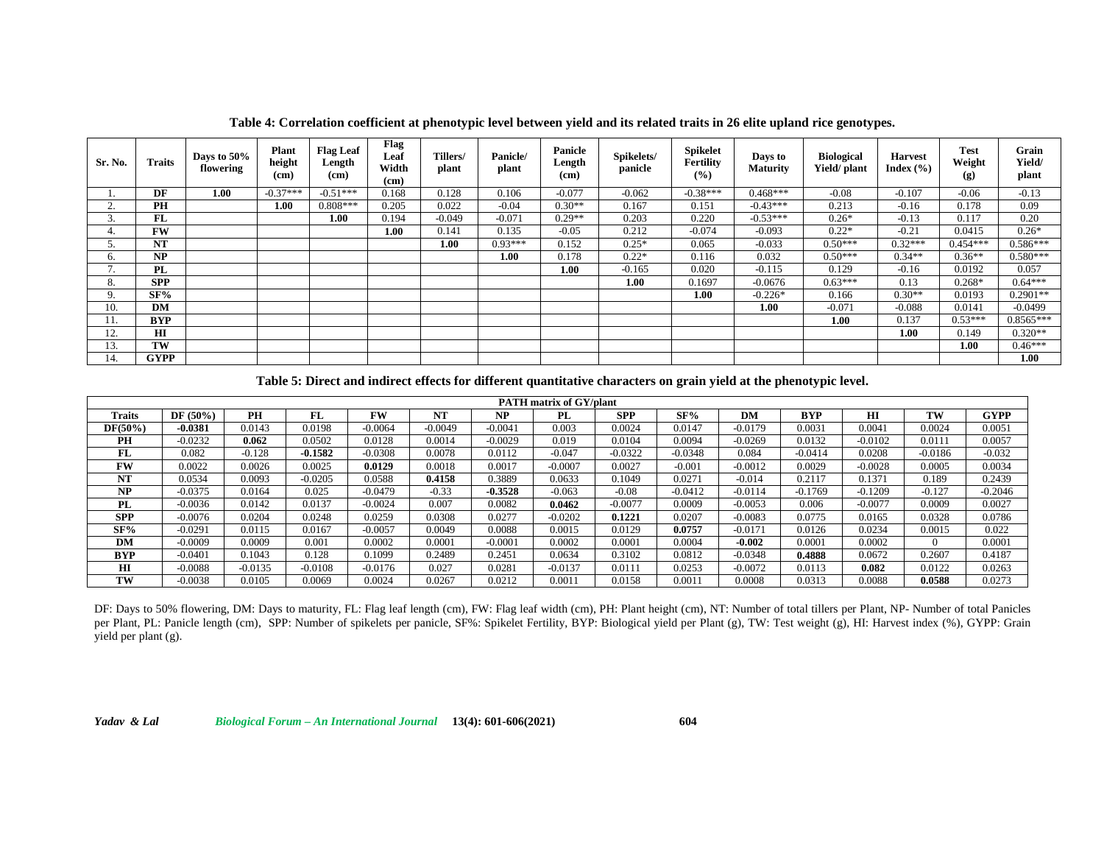| Sr. No. | Traits      | Days to 50%<br>flowering | Plant<br>height<br>(c <sub>m</sub> ) | <b>Flag Leaf</b><br>Length<br>(c <sub>m</sub> ) | Flag<br>Leaf<br>Width<br>(c <sub>m</sub> ) | Tillers/<br>plant | Panicle/<br>plant | <b>Panicle</b><br>Length<br>(cm) | Spikelets/<br>panicle | <b>Spikelet</b><br>Fertility<br>(%) | Days to<br><b>Maturity</b> | <b>Biological</b><br>Yield/ plant | <b>Harvest</b><br>Index $(\% )$ | <b>Test</b><br>Weight<br>(g) | Grain<br>Yield/<br>plant |
|---------|-------------|--------------------------|--------------------------------------|-------------------------------------------------|--------------------------------------------|-------------------|-------------------|----------------------------------|-----------------------|-------------------------------------|----------------------------|-----------------------------------|---------------------------------|------------------------------|--------------------------|
|         | DF          | 1.00                     | $-0.37***$                           | $-0.51***$                                      | 0.168                                      | 0.128             | 0.106             | $-0.077$                         | $-0.062$              | $-0.38***$                          | $0.468***$                 | $-0.08$                           | $-0.107$                        | $-0.06$                      | $-0.13$                  |
|         | PH          |                          | 1.00                                 | $0.808***$                                      | 0.205                                      | 0.022             | $-0.04$           | $0.30**$                         | 0.167                 | 0.151                               | $-0.43***$                 | 0.213                             | $-0.16$                         | 0.178                        | 0.09                     |
|         | FL          |                          |                                      | 1.00                                            | 0.194                                      | $-0.049$          | $-0.071$          | $0.29**$                         | 0.203                 | 0.220                               | $-0.53***$                 | $0.26*$                           | $-0.13$                         | 0.117                        | 0.20                     |
|         | <b>FW</b>   |                          |                                      |                                                 | 1.00                                       | 0.141             | 0.135             | $-0.05$                          | 0.212                 | $-0.074$                            | $-0.093$                   | $0.22*$                           | $-0.21$                         | 0.0415                       | $0.26*$                  |
|         | <b>NT</b>   |                          |                                      |                                                 |                                            | 1.00              | $0.93***$         | 0.152                            | $0.25*$               | 0.065                               | $-0.033$                   | $0.50***$                         | $0.32***$                       | $0.454***$                   | $0.586***$               |
| h.      | NP          |                          |                                      |                                                 |                                            |                   | 1.00              | 0.178                            | $0.22*$               | 0.116                               | 0.032                      | $0.50***$                         | $0.34**$                        | $0.36**$                     | $0.580***$               |
|         | PL          |                          |                                      |                                                 |                                            |                   |                   | 1.00                             | $-0.165$              | 0.020                               | $-0.115$                   | 0.129                             | $-0.16$                         | 0.0192                       | 0.057                    |
| Ō.      | <b>SPP</b>  |                          |                                      |                                                 |                                            |                   |                   |                                  | 1.00                  | 0.1697                              | $-0.0676$                  | $0.63***$                         | 0.13                            | $0.268*$                     | $0.64***$                |
|         | SF%         |                          |                                      |                                                 |                                            |                   |                   |                                  |                       | 1.00                                | $-0.226*$                  | 0.166                             | $0.30**$                        | 0.0193                       | $0.2901**$               |
| 10.     | DM          |                          |                                      |                                                 |                                            |                   |                   |                                  |                       |                                     | 1.00                       | $-0.071$                          | $-0.088$                        | 0.0141                       | $-0.0499$                |
| 11.     | <b>BYP</b>  |                          |                                      |                                                 |                                            |                   |                   |                                  |                       |                                     |                            | 1.00                              | 0.137                           | $0.53***$                    | $0.8565***$              |
| 12.     | HІ          |                          |                                      |                                                 |                                            |                   |                   |                                  |                       |                                     |                            |                                   | 1.00                            | 0.149                        | $0.320**$                |
| 13.     | TW          |                          |                                      |                                                 |                                            |                   |                   |                                  |                       |                                     |                            |                                   |                                 | 1.00                         | $0.46***$                |
| 14.     | <b>GYPP</b> |                          |                                      |                                                 |                                            |                   |                   |                                  |                       |                                     |                            |                                   |                                 |                              | 1.00                     |

**Table 4: Correlation coefficient at phenotypic level between yield and its related traits in 26 elite upland rice genotypes.**

**Table 5: Direct and indirect effects for different quantitative characters on grain yield at the phenotypic level.**

| <b>PATH</b> matrix of GY/plant |            |           |           |           |           |           |           |            |           |           |            |              |           |             |
|--------------------------------|------------|-----------|-----------|-----------|-----------|-----------|-----------|------------|-----------|-----------|------------|--------------|-----------|-------------|
| Traits                         | $DF(50\%)$ | <b>PH</b> | FL        | FW        | <b>NT</b> | NP        | PL        | <b>SPP</b> | SF%       | DM        | <b>BYP</b> | $\mathbf{H}$ | TW        | <b>GYPP</b> |
| DF(50%)                        | $-0.0381$  | 0.0143    | 0.0198    | $-0.0064$ | $-0.0049$ | $-0.0041$ | 0.003     | 0.0024     | 0.0147    | $-0.0179$ | 0.0031     | 0.0041       | 0.0024    | 0.0051      |
| PH                             | $-0.0232$  | 0.062     | 0.0502    | 0.0128    | 0.0014    | $-0.0029$ | 0.019     | 0.0104     | 0.0094    | $-0.0269$ | 0.0132     | $-0.0102$    | 0.011     | 0.0057      |
| FL                             | 0.082      | $-0.128$  | $-0.1582$ | $-0.0308$ | 0.0078    | 0.0112    | $-0.047$  | $-0.0322$  | $-0.0348$ | 0.084     | $-0.0414$  | 0.0208       | $-0.0186$ | $-0.032$    |
| <b>FW</b>                      | 0.0022     | 0.0026    | 0.0025    | 0.0129    | 0.0018    | 0.0017    | $-0.0007$ | 0.0027     | $-0.001$  | $-0.0012$ | 0.0029     | $-0.0028$    | 0.0005    | 0.0034      |
| NT                             | 0.0534     | 0.0093    | $-0.0205$ | 0.0588    | 0.4158    | 0.3889    | 0.0633    | 0.1049     | 0.0271    | $-0.014$  | 0.2117     | 0.1371       | 0.189     | 0.2439      |
| <b>NP</b>                      | $-0.0375$  | 0.0164    | 0.025     | $-0.0479$ | $-0.33$   | $-0.3528$ | $-0.063$  | $-0.08$    | $-0.0412$ | $-0.0114$ | $-0.1769$  | $-0.1209$    | $-0.127$  | $-0.2046$   |
| PL                             | $-0.0036$  | 0.0142    | 0.0137    | $-0.0024$ | 0.007     | 0.0082    | 0.0462    | $-0.0077$  | 0.0009    | $-0.0053$ | 0.006      | $-0.0077$    | 0.0009    | 0.0027      |
| <b>SPP</b>                     | $-0.0076$  | 0.0204    | 0.0248    | 0.0259    | 0.0308    | 0.0277    | $-0.0202$ | 0.1221     | 0.0207    | $-0.0083$ | 0.0775     | 0.0165       | 0.0328    | 0.0786      |
| SF%                            | $-0.0291$  | 0.0115    | 0.0167    | $-0.0057$ | 0.0049    | 0.0088    | 0.0015    | 0.0129     | 0.0757    | $-0.0171$ | 0.0126     | 0.0234       | 0.0015    | 0.022       |
| DM                             | $-0.0009$  | 0.0009    | 0.001     | 0.0002    | 0.0001    | $-0.0001$ | 0.0002    | 0.0001     | 0.0004    | $-0.002$  | 0.0001     | 0.0002       |           | 0.0001      |
| <b>BYP</b>                     | $-0.0401$  | 0.1043    | 0.128     | 0.1099    | 0.2489    | 0.2451    | 0.0634    | 0.3102     | 0.0812    | $-0.0348$ | 0.4888     | 0.0672       | 0.2607    | 0.4187      |
| HI                             | $-0.0088$  | $-0.0135$ | $-0.0108$ | $-0.0176$ | 0.027     | 0.0281    | $-0.0137$ | 0.0111     | 0.0253    | $-0.0072$ | 0.0113     | 0.082        | 0.0122    | 0.0263      |
| TW                             | $-0.0038$  | 0.0105    | 0.0069    | 0.0024    | 0.0267    | 0.0212    | 0.0011    | 0.0158     | 0.001     | 0.0008    | 0.0313     | 0.0088       | 0.0588    | 0.0273      |

DF: Days to 50% flowering, DM: Days to maturity, FL: Flag leaf length (cm), FW: Flag leaf width (cm), PH: Plant height (cm), NT: Number of total tillers per Plant, NP- Number of total Panicles per Plant, PL: Panicle length (cm), SPP: Number of spikelets per panicle, SF%: Spikelet Fertility, BYP: Biological yield per Plant (g), TW: Test weight (g), HI: Harvest index (%), GYPP: Grain yield per plant (g).

*Yadav & Lal Biological Forum – An International Journal* **13(4): 601-606(2021) 604**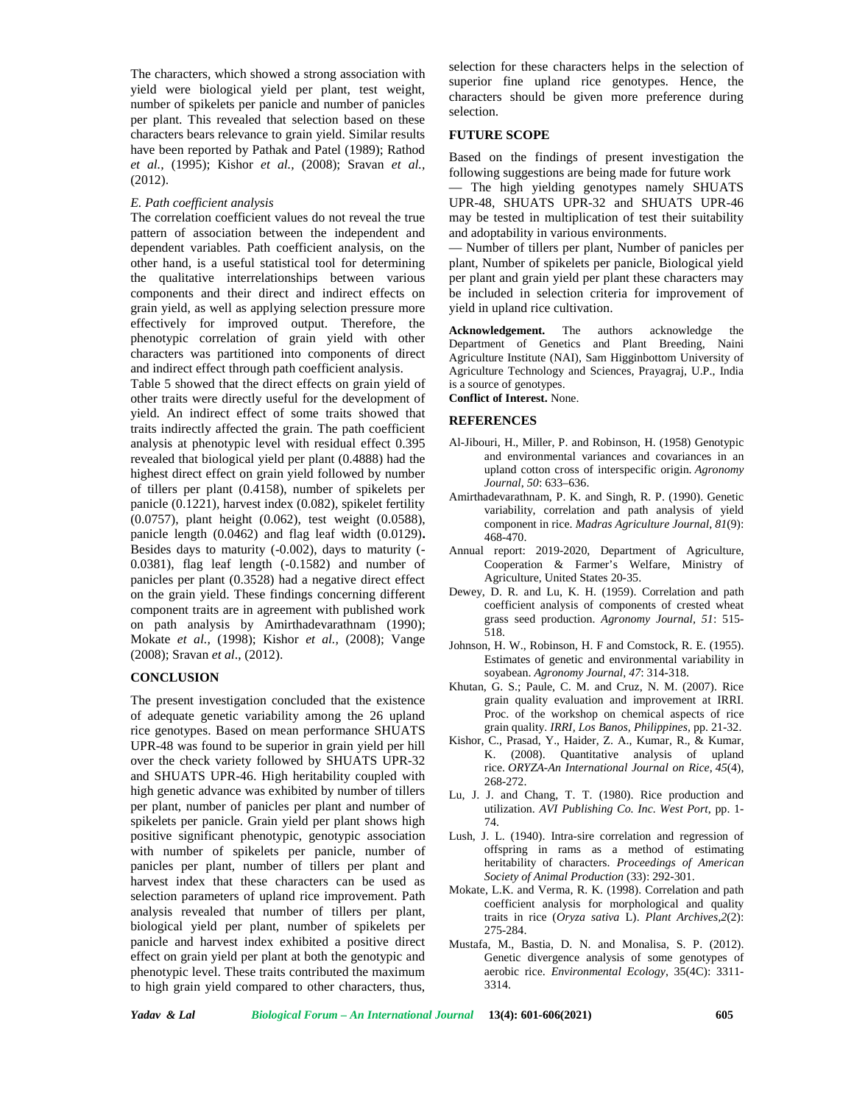The characters, which showed a strong association with yield were biological yield per plant, test weight, number of spikelets per panicle and number of panicles per plant. This revealed that selection based on these characters bears relevance to grain yield. Similar results have been reported by Pathak and Patel (1989); Rathod *et al.,* (1995); Kishor *et al.,* (2008); Sravan *et al.,* (2012).

# *E. Path coefficient analysis*

The correlation coefficient values do not reveal the true pattern of association between the independent and dependent variables. Path coefficient analysis, on the other hand, is a useful statistical tool for determining the qualitative interrelationships between various components and their direct and indirect effects on grain yield, as well as applying selection pressure more effectively for improved output. Therefore, the phenotypic correlation of grain yield with other characters was partitioned into components of direct and indirect effect through path coefficient analysis.

Table 5 showed that the direct effects on grain yield of other traits were directly useful for the development of yield. An indirect effect of some traits showed that traits indirectly affected the grain. The path coefficient analysis at phenotypic level with residual effect 0.395 revealed that biological yield per plant (0.4888) had the highest direct effect on grain yield followed by number of tillers per plant (0.4158), number of spikelets per panicle (0.1221), harvest index (0.082), spikelet fertility (0.0757), plant height (0.062), test weight (0.0588), panicle length (0.0462) and flag leaf width (0.0129)**.** Besides days to maturity (-0.002), days to maturity (- 0.0381), flag leaf length (-0.1582) and number of panicles per plant (0.3528) had a negative direct effect on the grain yield. These findings concerning different component traits are in agreement with published work on path analysis by Amirthadevarathnam (1990); Mokate *et al.,* (1998); Kishor *et al.,* (2008); Vange (2008); Sravan *et al*., (2012).

#### **CONCLUSION**

The present investigation concluded that the existence of adequate genetic variability among the 26 upland rice genotypes. Based on mean performance SHUATS UPR-48 was found to be superior in grain yield per hill over the check variety followed by SHUATS UPR-32 and SHUATS UPR-46. High heritability coupled with high genetic advance was exhibited by number of tillers per plant, number of panicles per plant and number of spikelets per panicle. Grain yield per plant shows high positive significant phenotypic, genotypic association with number of spikelets per panicle, number of panicles per plant, number of tillers per plant and harvest index that these characters can be used as selection parameters of upland rice improvement. Path analysis revealed that number of tillers per plant, biological yield per plant, number of spikelets per panicle and harvest index exhibited a positive direct effect on grain yield per plant at both the genotypic and phenotypic level. These traits contributed the maximum to high grain yield compared to other characters, thus,

selection for these characters helps in the selection of superior fine upland rice genotypes. Hence, the characters should be given more preference during selection.

# **FUTURE SCOPE**

Based on the findings of present investigation the following suggestions are being made for future work

The high yielding genotypes namely SHUATS UPR-48, SHUATS UPR-32 and SHUATS UPR-46 may be tested in multiplication of test their suitability and adoptability in various environments.

— Number of tillers per plant, Number of panicles per plant, Number of spikelets per panicle, Biological yield per plant and grain yield per plant these characters may be included in selection criteria for improvement of yield in upland rice cultivation.

**Acknowledgement.** The authors acknowledge the Department of Genetics and Plant Breeding, Naini Agriculture Institute (NAI), Sam Higginbottom University of Agriculture Technology and Sciences, Prayagraj, U.P., India is a source of genotypes.

**Conflict of Interest.** None.

# **REFERENCES**

- Al-Jibouri, H., Miller, P. and Robinson, H. (1958) Genotypic and environmental variances and covariances in an upland cotton cross of interspecific origin. *Agronomy Journal*, *50*: 633–636.
- Amirthadevarathnam, P. K. and Singh, R. P. (1990). Genetic variability, correlation and path analysis of yield component in rice. *Madras Agriculture Journal*, *81*(9): 468-470.
- Annual report: 2019-2020, Department of Agriculture, Cooperation & Farmer's Welfare, Ministry of Agriculture, United States 20-35.
- Dewey, D. R. and Lu, K. H. (1959). Correlation and path coefficient analysis of components of crested wheat grass seed production. *Agronomy Journal, 51*: 515- 518.
- Johnson, H. W., Robinson, H. F and Comstock, R. E. (1955). Estimates of genetic and environmental variability in soyabean. *Agronomy Journal, 47*: 314-318.
- Khutan, G. S.; Paule, C. M. and Cruz, N. M. (2007). Rice grain quality evaluation and improvement at IRRI. Proc. of the workshop on chemical aspects of rice grain quality. *IRRI, Los Banos, Philippines,* pp. 21-32.
- Kishor, C., Prasad, Y., Haider, Z. A., Kumar, R., & Kumar, K. (2008). Quantitative analysis of upland rice. *ORYZA-An International Journal on Rice*, *45*(4), 268-272.
- Lu, J. J. and Chang, T. T. (1980). Rice production and utilization. *AVI Publishing Co. Inc. West Port*, pp. 1- 74.
- Lush, J. L. (1940). Intra-sire correlation and regression of offspring in rams as a method of estimating heritability of characters. *Proceedings of American Society of Animal Production* (33): 292-301.
- Mokate, L.K. and Verma, R. K. (1998). Correlation and path coefficient analysis for morphological and quality traits in rice (*Oryza sativa* L). *Plant Archives,2*(2): 275-284.
- Mustafa, M., Bastia, D. N. and Monalisa, S. P. (2012). Genetic divergence analysis of some genotypes of aerobic rice. *Environmental Ecology*, 35(4C): 3311- 3314.